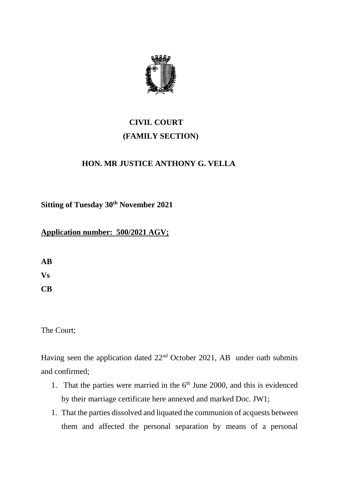

## **CIVIL COURT (FAMILY SECTION)**

## **HON. MR JUSTICE ANTHONY G. VELLA**

**Sitting of Tuesday 30th November 2021** 

## **Application number: 500/2021 AGV;**

**AB Vs CB** 

The Court;

Having seen the application dated 22nd October 2021, AB under oath submits and confirmed;

- 1. That the parties were married in the  $6<sup>th</sup>$  June 2000, and this is evidenced by their marriage certificate here annexed and marked Doc. JW1;
- 1. That the parties dissolved and liquated the communion of acquests between them and affected the personal separation by means of a personal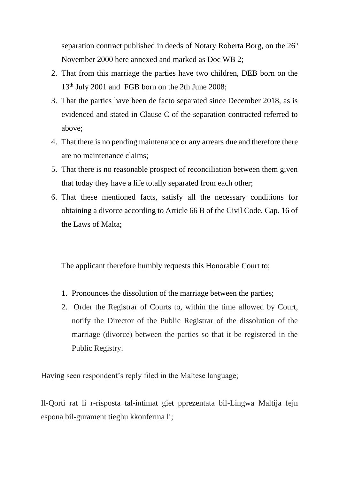separation contract published in deeds of Notary Roberta Borg, on the  $26<sup>h</sup>$ November 2000 here annexed and marked as Doc WB 2;

- 2. That from this marriage the parties have two children, DEB born on the 13<sup>th</sup> July 2001 and FGB born on the 2th June 2008;
- 3. That the parties have been de facto separated since December 2018, as is evidenced and stated in Clause C of the separation contracted referred to above;
- 4. That there is no pending maintenance or any arrears due and therefore there are no maintenance claims;
- 5. That there is no reasonable prospect of reconciliation between them given that today they have a life totally separated from each other;
- 6. That these mentioned facts, satisfy all the necessary conditions for obtaining a divorce according to Article 66 B of the Civil Code, Cap. 16 of the Laws of Malta;

The applicant therefore humbly requests this Honorable Court to;

- 1. Pronounces the dissolution of the marriage between the parties;
- 2. Order the Registrar of Courts to, within the time allowed by Court, notify the Director of the Public Registrar of the dissolution of the marriage (divorce) between the parties so that it be registered in the Public Registry.

Having seen respondent's reply filed in the Maltese language;

Il-Qorti rat li r-risposta tal-intimat giet pprezentata bil-Lingwa Maltija fejn espona bil-gurament tieghu kkonferma li;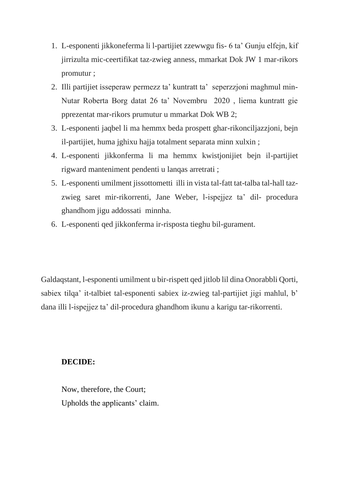- 1. L-esponenti jikkoneferma li l-partijiet zzewwgu fis- 6 ta' Gunju elfejn, kif jirrizulta mic-ceertifikat taz-zwieg anness, mmarkat Dok JW 1 mar-rikors promutur ;
- 2. Illi partijiet isseperaw permezz ta' kuntratt ta' seperzzjoni maghmul min-Nutar Roberta Borg datat 26 ta' Novembru 2020 , liema kuntratt gie pprezentat mar-rikors prumutur u mmarkat Dok WB 2;
- 3. L-esponenti jaqbel li ma hemmx beda prospett ghar-rikonciljazzjoni, bejn il-partijiet, huma jghixu hajja totalment separata minn xulxin ;
- 4. L-esponenti jikkonferma li ma hemmx kwistjonijiet bejn il-partijiet rigward manteniment pendenti u lanqas arretrati ;
- 5. L-esponenti umilment jissottometti illi in vista tal-fatt tat-talba tal-hall tazzwieg saret mir-rikorrenti, Jane Weber, l-ispejjez ta' dil- procedura ghandhom jigu addossati minnha.
- 6. L-esponenti qed jikkonferma ir-risposta tieghu bil-gurament.

Galdaqstant, l-esponenti umilment u bir-rispett qed jitlob lil dina Onorabbli Qorti, sabiex tilqa' it-talbiet tal-esponenti sabiex iz-zwieg tal-partijiet jigi mahlul, b' dana illi l-ispejjez ta' dil-procedura ghandhom ikunu a karigu tar-rikorrenti.

## **DECIDE:**

Now, therefore, the Court; Upholds the applicants' claim.